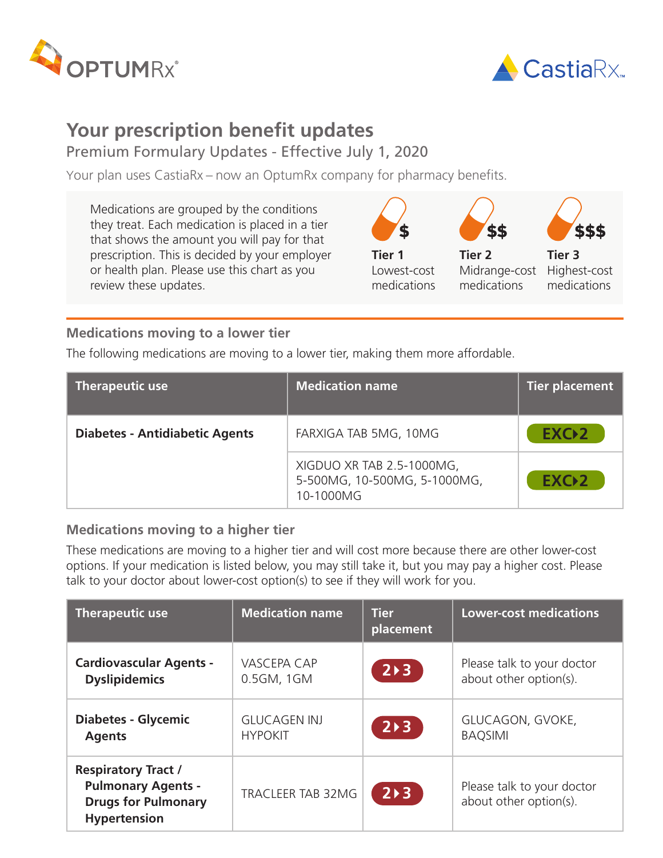



## **Your prescription benefit updates**

Premium Formulary Updates - Effective July 1, 2020

Your plan uses CastiaRx – now an OptumRx company for pharmacy benefits.

Medications are grouped by the conditions they treat. Each medication is placed in a tier that shows the amount you will pay for that prescription. This is decided by your employer or health plan. Please use this chart as you review these updates.



## **Medications moving to a lower tier**

The following medications are moving to a lower tier, making them more affordable.

| <b>Therapeutic use</b>                | <b>Medication name</b>                                                 | Tier placement   |
|---------------------------------------|------------------------------------------------------------------------|------------------|
| <b>Diabetes - Antidiabetic Agents</b> | FARXIGA TAB 5MG, 10MG                                                  | EXC <sub>2</sub> |
|                                       | XIGDUO XR TAB 2.5-1000MG,<br>5-500MG, 10-500MG, 5-1000MG,<br>10-1000MG | EXC <sub>2</sub> |

## **Medications moving to a higher tier**

These medications are moving to a higher tier and will cost more because there are other lower-cost options. If your medication is listed below, you may still take it, but you may pay a higher cost. Please talk to your doctor about lower-cost option(s) to see if they will work for you.

| <b>Therapeutic use</b>                                                                                       | <b>Medication name</b> | <b>Tier</b><br>placement | <b>Lower-cost medications</b>                        |
|--------------------------------------------------------------------------------------------------------------|------------------------|--------------------------|------------------------------------------------------|
| <b>Cardiovascular Agents -</b>                                                                               | <b>VASCEPA CAP</b>     | $2 \rightarrow 3$        | Please talk to your doctor                           |
| <b>Dyslipidemics</b>                                                                                         | 0.5GM, 1GM             |                          | about other option(s).                               |
| <b>Diabetes - Glycemic</b>                                                                                   | <b>GLUCAGEN INJ</b>    | $2 \rightarrow 3$        | GLUCAGON, GVOKE,                                     |
| <b>Agents</b>                                                                                                | <b>HYPOKIT</b>         |                          | <b>BAQSIMI</b>                                       |
| <b>Respiratory Tract /</b><br><b>Pulmonary Agents -</b><br><b>Drugs for Pulmonary</b><br><b>Hypertension</b> | TRACLEER TAB 32MG      | $2 \triangleright 3$     | Please talk to your doctor<br>about other option(s). |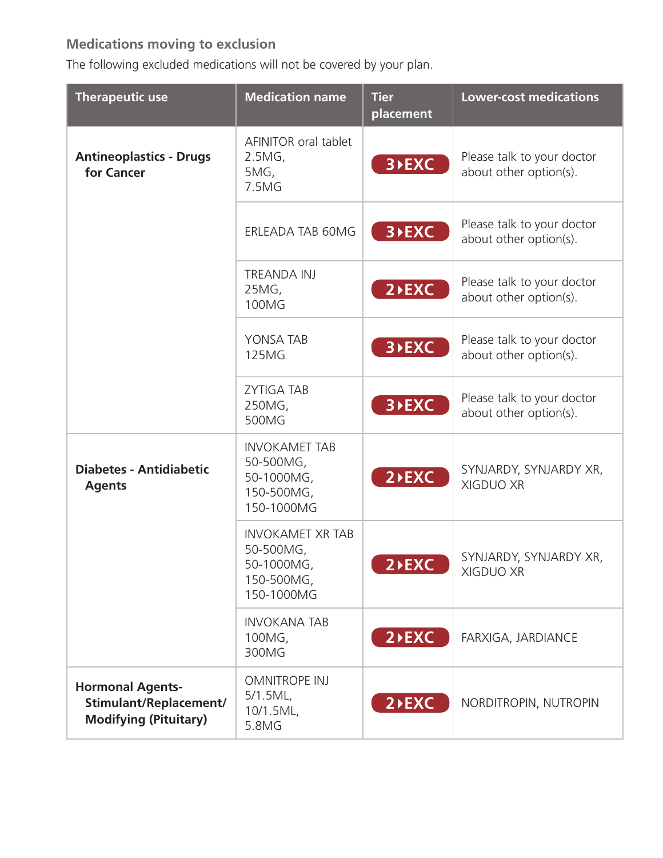## **Medications moving to exclusion**

The following excluded medications will not be covered by your plan.

| <b>Therapeutic use</b>                                                            | <b>Medication name</b>                                                        | <b>Tier</b><br>placement | <b>Lower-cost medications</b>                        |
|-----------------------------------------------------------------------------------|-------------------------------------------------------------------------------|--------------------------|------------------------------------------------------|
| <b>Antineoplastics - Drugs</b><br>for Cancer                                      | AFINITOR oral tablet<br>2.5MG,<br>5MG,<br>7.5MG                               | 3 <b>&gt;EXC</b>         | Please talk to your doctor<br>about other option(s). |
|                                                                                   | ERLEADA TAB 60MG                                                              | 3 <b>&gt;EXC</b>         | Please talk to your doctor<br>about other option(s). |
|                                                                                   | <b>TREANDA INJ</b><br>25MG,<br>100MG                                          | $2$ <b>EXC</b>           | Please talk to your doctor<br>about other option(s). |
|                                                                                   | YONSA TAB<br><b>125MG</b>                                                     | 3 <b>&gt;EXC</b>         | Please talk to your doctor<br>about other option(s). |
|                                                                                   | <b>ZYTIGA TAB</b><br>250MG,<br>500MG                                          | 3 <b>&gt;EXC</b>         | Please talk to your doctor<br>about other option(s). |
| <b>Diabetes - Antidiabetic</b><br><b>Agents</b>                                   | <b>INVOKAMET TAB</b><br>50-500MG,<br>50-1000MG,<br>150-500MG,<br>150-1000MG   | $2$ <b>EXC</b>           | SYNJARDY, SYNJARDY XR,<br><b>XIGDUO XR</b>           |
|                                                                                   | <b>INVOKAMET XR TAB</b><br>50-500MG,<br>50-1000MG<br>150-500MG,<br>150-1000MG | 2 <sup>D</sup> EXC       | SYNJARDY, SYNJARDY XR,<br>XIGDUO XR                  |
|                                                                                   | <b>INVOKANA TAB</b><br>100MG,<br>300MG                                        | $2$ <b>EXC</b>           | FARXIGA, JARDIANCE                                   |
| <b>Hormonal Agents-</b><br>Stimulant/Replacement/<br><b>Modifying (Pituitary)</b> | <b>OMNITROPE INJ</b><br>$5/1.5ML$ ,<br>10/1.5ML,<br>5.8MG                     | $2$ <b>EXC</b>           | NORDITROPIN, NUTROPIN                                |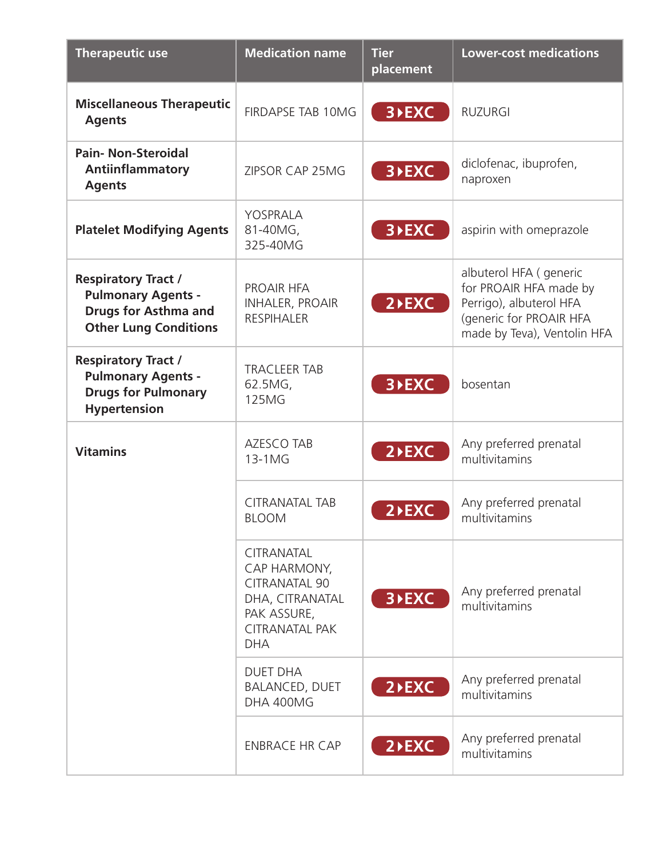| <b>Therapeutic use</b>                                                                                                 | <b>Medication name</b>                                                                                                             | <b>Tier</b><br>placement | <b>Lower-cost medications</b>                                                                                                          |
|------------------------------------------------------------------------------------------------------------------------|------------------------------------------------------------------------------------------------------------------------------------|--------------------------|----------------------------------------------------------------------------------------------------------------------------------------|
| <b>Miscellaneous Therapeutic</b><br><b>Agents</b>                                                                      | <b>FIRDAPSE TAB 10MG</b>                                                                                                           | 3 <b>&gt;EXC</b>         | <b>RUZURGI</b>                                                                                                                         |
| <b>Pain-Non-Steroidal</b><br>Antiinflammatory<br><b>Agents</b>                                                         | ZIPSOR CAP 25MG                                                                                                                    | 3 <b>&gt;EXC</b>         | diclofenac, ibuprofen,<br>naproxen                                                                                                     |
| <b>Platelet Modifying Agents</b>                                                                                       | YOSPRALA<br>81-40MG,<br>325-40MG                                                                                                   | 3 <b>&gt;EXC</b>         | aspirin with omeprazole                                                                                                                |
| <b>Respiratory Tract /</b><br><b>Pulmonary Agents -</b><br><b>Drugs for Asthma and</b><br><b>Other Lung Conditions</b> | PROAIR HFA<br><b>INHALER, PROAIR</b><br><b>RESPIHALER</b>                                                                          | $2$ <b>EXC</b>           | albuterol HFA ( generic<br>for PROAIR HFA made by<br>Perrigo), albuterol HFA<br>(generic for PROAIR HFA<br>made by Teva), Ventolin HFA |
| <b>Respiratory Tract /</b><br><b>Pulmonary Agents -</b><br><b>Drugs for Pulmonary</b><br>Hypertension                  | <b>TRACLEER TAB</b><br>62.5MG,<br><b>125MG</b>                                                                                     | 3 <b>&gt;EXC</b>         | bosentan                                                                                                                               |
| <b>Vitamins</b>                                                                                                        | <b>AZESCO TAB</b><br>13-1MG                                                                                                        | $2$ <b>EXC</b>           | Any preferred prenatal<br>multivitamins                                                                                                |
|                                                                                                                        | <b>CITRANATAL TAB</b><br><b>BLOOM</b>                                                                                              | $2$ <b>EXC</b>           | Any preferred prenatal<br>multivitamins                                                                                                |
|                                                                                                                        | <b>CITRANATAL</b><br>CAP HARMONY,<br><b>CITRANATAL 90</b><br>DHA, CITRANATAL<br>PAK ASSURE,<br><b>CITRANATAL PAK</b><br><b>DHA</b> | 3 <b>&gt;EXC</b>         | Any preferred prenatal<br>multivitamins                                                                                                |
|                                                                                                                        | <b>DUET DHA</b><br><b>BALANCED, DUET</b><br>DHA 400MG                                                                              | $2$ <b>EXC</b>           | Any preferred prenatal<br>multivitamins                                                                                                |
|                                                                                                                        | <b>ENBRACE HR CAP</b>                                                                                                              | $2$ <b>EXC</b>           | Any preferred prenatal<br>multivitamins                                                                                                |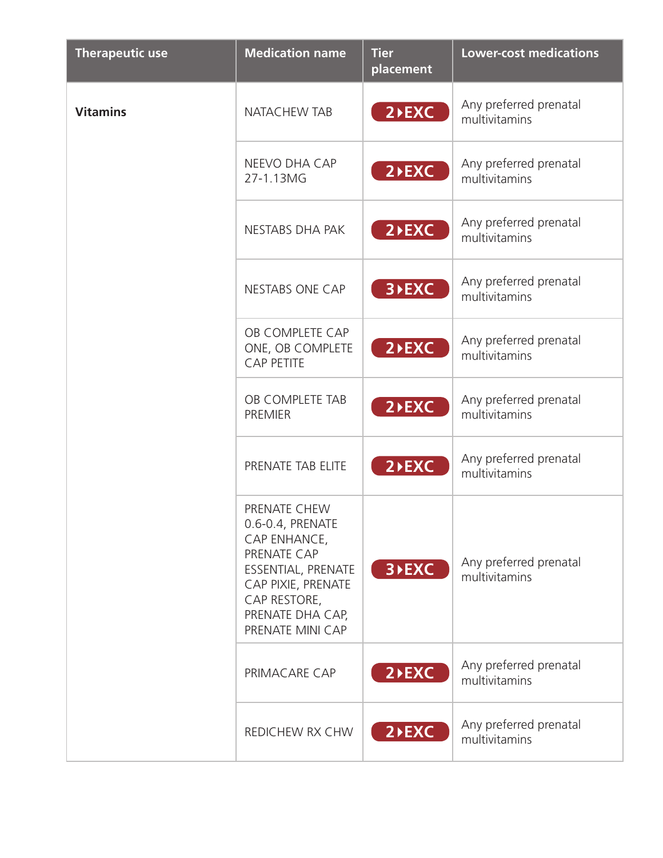| <b>Therapeutic use</b> | <b>Medication name</b>                                                                                                                                              | <b>Tier</b><br>placement | <b>Lower-cost medications</b>           |
|------------------------|---------------------------------------------------------------------------------------------------------------------------------------------------------------------|--------------------------|-----------------------------------------|
| <b>Vitamins</b>        | <b>NATACHEW TAB</b>                                                                                                                                                 | $2$ <b>EXC</b>           | Any preferred prenatal<br>multivitamins |
|                        | NEEVO DHA CAP<br>27-1.13MG                                                                                                                                          | $2$ <b>EXC</b>           | Any preferred prenatal<br>multivitamins |
|                        | NESTABS DHA PAK                                                                                                                                                     | $2$ <b>EXC</b>           | Any preferred prenatal<br>multivitamins |
|                        | <b>NESTABS ONE CAP</b>                                                                                                                                              | 3 <b>&gt;EXC</b>         | Any preferred prenatal<br>multivitamins |
|                        | OB COMPLETE CAP<br>ONE, OB COMPLETE<br><b>CAP PETITE</b>                                                                                                            | $2$ <b>EXC</b>           | Any preferred prenatal<br>multivitamins |
|                        | OB COMPLETE TAB<br><b>PREMIER</b>                                                                                                                                   | $2$ <b>EXC</b>           | Any preferred prenatal<br>multivitamins |
|                        | PRENATE TAB ELITE                                                                                                                                                   | $2$ <b>EXC</b>           | Any preferred prenatal<br>multivitamins |
|                        | PRENATE CHEW<br>0.6-0.4, PRENATE<br>CAP ENHANCE,<br>PRENATE CAP<br>ESSENTIAL, PRENATE<br>CAP PIXIE, PRENATE<br>CAP RESTORE,<br>PRENATE DHA CAP,<br>PRENATE MINI CAP | 3 <b>&gt;EXC</b>         | Any preferred prenatal<br>multivitamins |
|                        | PRIMACARE CAP                                                                                                                                                       | $2$ <b>EXC</b>           | Any preferred prenatal<br>multivitamins |
|                        | REDICHEW RX CHW                                                                                                                                                     | $2$ <b>EXC</b>           | Any preferred prenatal<br>multivitamins |